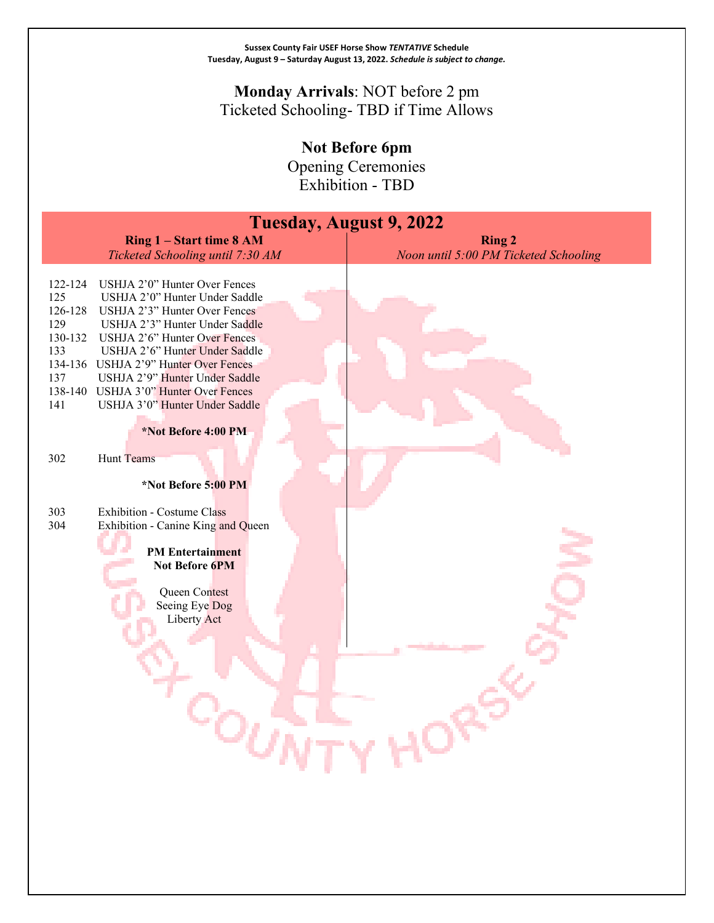### **Monday Arrivals**: NOT before 2 pm Ticketed Schooling- TBD if Time Allows

**Not Before 6pm**

Opening Ceremonies Exhibition - TBD

| <b>Tuesday, August 9, 2022</b>                                                                                                                                                                                                                                                                                                                                                                                                  |                                                        |  |
|---------------------------------------------------------------------------------------------------------------------------------------------------------------------------------------------------------------------------------------------------------------------------------------------------------------------------------------------------------------------------------------------------------------------------------|--------------------------------------------------------|--|
| Ring 1 - Start time 8 AM<br>Ticketed Schooling until 7:30 AM                                                                                                                                                                                                                                                                                                                                                                    | <b>Ring 2</b><br>Noon until 5:00 PM Ticketed Schooling |  |
| USHJA 2'0" Hunter Over Fences<br>122-124<br>125<br>USHJA 2'0" Hunter Under Saddle<br>126-128<br>USHJA 2'3" Hunter Over Fences<br>129<br>USHJA 2'3" Hunter Under Saddle<br>130-132<br>USHJA 2'6" Hunter Over Fences<br>133<br>USHJA 2'6" Hunter Under Saddle<br>134-136 USHJA 2'9" Hunter Over Fences<br>USHJA 2'9" Hunter Under Saddle<br>137<br>138-140 USHJA 3'0" Hunter Over Fences<br>USHJA 3'0" Hunter Under Saddle<br>141 |                                                        |  |
| *Not Before 4:00 PM<br>Hunt Teams<br>302<br>*Not Before 5:00 PM                                                                                                                                                                                                                                                                                                                                                                 |                                                        |  |
| <b>Exhibition - Costume Class</b><br>303<br>304<br>Exhibition - Canine King and Queen<br><b>PM</b> Entertainment<br>Not Before 6PM<br>Queen Contest<br>Seeing Eye Dog<br>Liberty Act                                                                                                                                                                                                                                            |                                                        |  |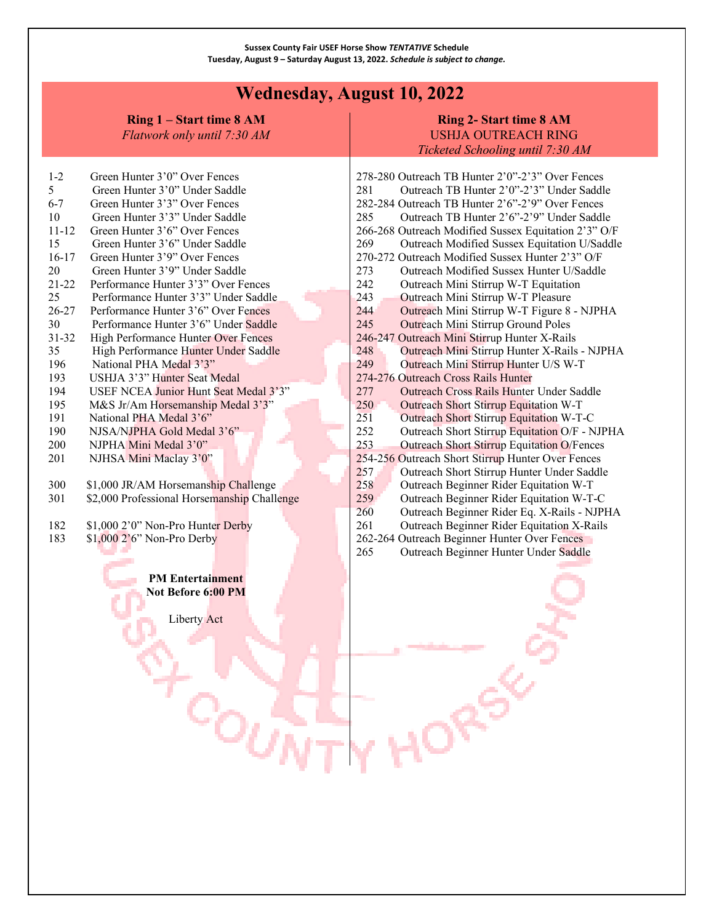## **Wednesday, August 10, 2022**

**Ring 1 – Start time 8 AM**

*Flatwork only until 7:30 AM*

### **Ring 2- Start time 8 AM** USHJA OUTREACH RING *Ticketed Schooling until 7:30 AM*

| $1 - 2$                 | Green Hunter 3'0" Over Fences               |  |  |
|-------------------------|---------------------------------------------|--|--|
| 5.                      | Green Hunter 3'0" Under Saddle              |  |  |
| $6-7$                   | Green Hunter 3'3" Over Fences               |  |  |
| 10                      | Green Hunter 3'3" Under Saddle              |  |  |
| 11-12                   | Green Hunter 3'6" Over Fences               |  |  |
| 15                      | Green Hunter 3'6" Under Saddle              |  |  |
| $16-17$                 | Green Hunter 3'9" Over Fences               |  |  |
| 20                      | Green Hunter 3'9" Under Saddle              |  |  |
| 21-22                   | Performance Hunter 3'3" Over Fences         |  |  |
| 25                      | Performance Hunter 3'3" Under Saddle        |  |  |
| 26-27                   | Performance Hunter 3'6" Over Fences         |  |  |
| 30                      | Performance Hunter 3'6" Under Saddle        |  |  |
| 31-32                   | High Performance Hunter Over Fences         |  |  |
| 35                      | High Performance Hunter Under Saddle        |  |  |
| 196                     | National PHA Medal 3'3"                     |  |  |
| 193                     | USHJA 3'3" Hunter Seat Medal                |  |  |
| 194                     | USEF NCEA Junior Hunt Seat Medal 3'3"       |  |  |
| 195                     | M&S Jr/Am Horsemanship Medal 3'3"           |  |  |
| 191                     | National PHA Medal 3'6"                     |  |  |
| 190                     | NJSA/NJPHA Gold Medal 3'6"                  |  |  |
| 200                     | NJPHA Mini Medal 3'0"                       |  |  |
| 201                     | NJHSA Mini Maclay 3'0"                      |  |  |
|                         |                                             |  |  |
| 300                     | \$1,000 JR/AM Horsemanship Challenge        |  |  |
| 301                     | \$2,000 Professional Horsemanship Challenge |  |  |
|                         |                                             |  |  |
| 182                     | \$1,000 2'0" Non-Pro Hunter Derby           |  |  |
| 183                     | $$1,000$ $2'6'$ Non-Pro Derby               |  |  |
|                         |                                             |  |  |
|                         |                                             |  |  |
| <b>PM Entertainment</b> |                                             |  |  |
| Not Before 6:00 PM      |                                             |  |  |

Liberty Act

הוי

|                                                   | 278-280 Outreach TB Hunter 2'0"-2'3" Over Fences     |  |
|---------------------------------------------------|------------------------------------------------------|--|
| 281                                               | Outreach TB Hunter 2'0"-2'3" Under Saddle            |  |
|                                                   | 282-284 Outreach TB Hunter 2'6"-2'9" Over Fences     |  |
| 285                                               | Outreach TB Hunter 2'6"-2'9" Under Saddle            |  |
|                                                   | 266-268 Outreach Modified Sussex Equitation 2'3" O/F |  |
| 269                                               | Outreach Modified Sussex Equitation U/Saddle         |  |
|                                                   | 270-272 Outreach Modified Sussex Hunter 2'3" O/F     |  |
| 273                                               | Outreach Modified Sussex Hunter U/Saddle             |  |
| 242                                               | Outreach Mini Stirrup W-T Equitation                 |  |
| 243                                               | Outreach Mini Stirrup W-T Pleasure                   |  |
| 2.44                                              | Outreach Mini Stirrup W-T Figure 8 - NJPHA           |  |
| 245                                               | <b>Outreach Mini Stirrup Ground Poles</b>            |  |
|                                                   | 246-247 Outreach Mini Stirrup Hunter X-Rails         |  |
| 248                                               | Outreach Mini Stirrup Hunter X-Rails - NJPHA         |  |
| 249                                               | Outreach Mini Stirrup Hunter U/S W-T                 |  |
|                                                   | 274-276 Outreach Cross Rails Hunter                  |  |
| 277                                               | Outreach Cross Rails Hunter Under Saddle             |  |
| 250                                               | Outreach Short Stirrup Equitation W-T                |  |
| 251                                               | Outreach Short Stirrup Equitation W-T-C              |  |
| 252                                               | Outreach Short Stirrup Equitation O/F - NJPHA        |  |
| 253                                               | <b>Outreach Short Stirrup Equitation O/Fences</b>    |  |
| 254-256 Outreach Short Stirrup Hunter Over Fences |                                                      |  |
| 257                                               | Outreach Short Stirrup Hunter Under Saddle           |  |
| 258                                               | Outreach Beginner Rider Equitation W-T               |  |
| 259                                               | Outreach Beginner Rider Equitation W-T-C             |  |
| 260                                               | Outreach Beginner Rider Eq. X-Rails - NJPHA          |  |
| 261                                               | Outreach Beginner Rider Equitation X-Rails           |  |
|                                                   | 262-264 Outreach Beginner Hunter Over Fences         |  |
| 265                                               | Outreach Beginner Hunter Under Saddle                |  |
|                                                   |                                                      |  |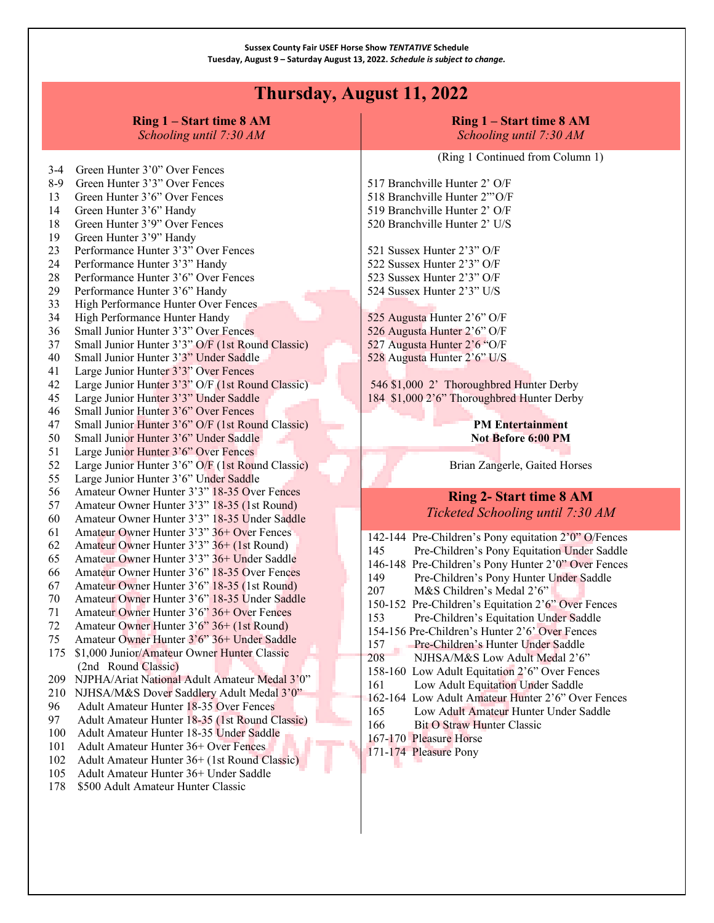# **Thursday, August 11, 2022**

|                                                                                                                                                                                                                                                                                                                                                                                                                                                                                                                                                                                                                                                                                                                                                                                                                                                                                                                                                                                                                 | Ring 1 – Start time 8 AM<br>Schooling until 7:30 AM                                                                                                                                                                                                                                                                                                                                                                                                                                                                                                              | Ring 1 – Start time 8 AM<br>Schooling until 7:30 AM                                                                                                                                                                                                                                                                                                                                      |
|-----------------------------------------------------------------------------------------------------------------------------------------------------------------------------------------------------------------------------------------------------------------------------------------------------------------------------------------------------------------------------------------------------------------------------------------------------------------------------------------------------------------------------------------------------------------------------------------------------------------------------------------------------------------------------------------------------------------------------------------------------------------------------------------------------------------------------------------------------------------------------------------------------------------------------------------------------------------------------------------------------------------|------------------------------------------------------------------------------------------------------------------------------------------------------------------------------------------------------------------------------------------------------------------------------------------------------------------------------------------------------------------------------------------------------------------------------------------------------------------------------------------------------------------------------------------------------------------|------------------------------------------------------------------------------------------------------------------------------------------------------------------------------------------------------------------------------------------------------------------------------------------------------------------------------------------------------------------------------------------|
| Green Hunter 3'0" Over Fences<br>$3-4$<br>Green Hunter 3'3" Over Fences<br>$8-9$<br>Green Hunter 3'6" Over Fences<br>13<br>Green Hunter 3'6" Handy<br>14<br>Green Hunter 3'9" Over Fences<br>18<br>Green Hunter 3'9" Handy<br>19<br>Performance Hunter 3'3" Over Fences<br>23<br>Performance Hunter 3'3" Handy<br>24<br>Performance Hunter 3'6" Over Fences<br>28<br>29<br>Performance Hunter 3'6" Handy<br>High Performance Hunter Over Fences<br>33<br>High Performance Hunter Handy<br>34<br>Small Junior Hunter 3'3" Over Fences<br>36<br>Small Junior Hunter 3'3" O/F (1st Round Classic)<br>37<br>Small Junior Hunter 3'3" Under Saddle<br>40<br>Large Junior Hunter 3'3" Over Fences<br>41<br>Large Junior Hunter 3'3" O/F (1st Round Classic)<br>42<br>Large Junior Hunter 3'3" Under Saddle<br>45<br>Small Junior Hunter 3'6" Over Fences<br>46<br>Small Junior Hunter 3'6" O/F (1st Round Classic)<br>47<br>Small Junior Hunter 3'6" Under Saddle<br>50<br>Large Junior Hunter 3'6" Over Fences<br>51 | 517 Branchville Hunter 2' O/F<br>518 Branchville Hunter 2"'O/F<br>519 Branchville Hunter 2' O/F<br>520 Branchville Hunter 2' U/S<br>521 Sussex Hunter 2'3" O/F<br>522 Sussex Hunter 2'3" O/F<br>523 Sussex Hunter 2'3" O/F<br>524 Sussex Hunter 2'3" U/S<br>525 Augusta Hunter 2'6" O/F<br>526 Augusta Hunter 2'6" O/F<br>527 Augusta Hunter 2'6 "O/F<br>528 Augusta Hunter 2'6" U/S<br>546 \$1,000 2' Thoroughbred Hunter Derby<br>184 \$1,000 2'6" Thoroughbred Hunter Derby<br><b>PM Entertainment</b><br>Not Before 6:00 PM<br>Brian Zangerle, Gaited Horses |                                                                                                                                                                                                                                                                                                                                                                                          |
| 55<br>56<br>57<br>60<br>61<br>62                                                                                                                                                                                                                                                                                                                                                                                                                                                                                                                                                                                                                                                                                                                                                                                                                                                                                                                                                                                | Large Junior Hunter 3'6" Under Saddle<br>Amateur Owner Hunter 3'3" 18-35 Over Fences<br>Amateur Owner Hunter 3'3" 18-35 (1st Round)<br>Amateur Owner Hunter 3'3" 18-35 Under Saddle<br>Amateur Owner Hunter 3'3" 36+ Over Fences<br>Amateur Owner Hunter 3'3" 36+ (1st Round)                                                                                                                                                                                                                                                                                    | <b>Ring 2- Start time 8 AM</b><br>Ticketed Schooling until 7:30 AM<br>142-144 Pre-Children's Pony equitation 2'0" O/Fences<br>145<br>Pre-Children's Pony Equitation Under Saddle                                                                                                                                                                                                         |
| 65<br>66<br>67<br>70<br>71<br>72<br>75<br>175                                                                                                                                                                                                                                                                                                                                                                                                                                                                                                                                                                                                                                                                                                                                                                                                                                                                                                                                                                   | Amateur Owner Hunter 3'3" 36+ Under Saddle<br>Amateur Owner Hunter 3'6" 18-35 Over Fences<br>Amateur Owner Hunter 3'6" 18-35 (1st Round)<br>Amateur Owner Hunter 3'6" 18-35 Under Saddle<br>Amateur Owner Hunter 3'6" 36+ Over Fences<br>Amateur Owner Hunter 3'6" 36+ (1st Round)<br>Amateur Owner Hunter 3'6" 36+ Under Saddle<br>\$1,000 Junior/Amateur Owner Hunter Classic<br>(2nd Round Classic)                                                                                                                                                           | 146-148 Pre-Children's Pony Hunter 2'0" Over Fences<br>149<br>Pre-Children's Pony Hunter Under Saddle<br>207<br>M&S Children's Medal 2'6"<br>150-152 Pre-Children's Equitation 2'6" Over Fences<br>153<br>Pre-Children's Equitation Under Saddle<br>154-156 Pre-Children's Hunter 2'6' Over Fences<br>Pre-Children's Hunter Under Saddle<br>157<br>208<br>NJHSA/M&S Low Adult Medal 2'6" |
| 209<br>210<br>96<br>97<br>100<br>101<br>102<br>105<br>178                                                                                                                                                                                                                                                                                                                                                                                                                                                                                                                                                                                                                                                                                                                                                                                                                                                                                                                                                       | NJPHA/Ariat National Adult Amateur Medal 3'0"<br>NJHSA/M&S Dover Saddlery Adult Medal 3'0"<br>Adult Amateur Hunter 18-35 Over Fences<br>Adult Amateur Hunter 18-35 (1st Round Classic)<br>Adult Amateur Hunter 18-35 Under Saddle<br>Adult Amateur Hunter 36+ Over Fences<br>Adult Amateur Hunter 36+ (1st Round Classic)<br>Adult Amateur Hunter 36+ Under Saddle<br>\$500 Adult Amateur Hunter Classic                                                                                                                                                         | 158-160 Low Adult Equitation 2'6" Over Fences<br>Low Adult Equitation Under Saddle<br>161<br>162-164 Low Adult Amateur Hunter 2'6" Over Fences<br>Low Adult Amateur Hunter Under Saddle<br>165<br>166<br><b>Bit O Straw Hunter Classic</b><br>167-170 Pleasure Horse<br>171-174 Pleasure Pony                                                                                            |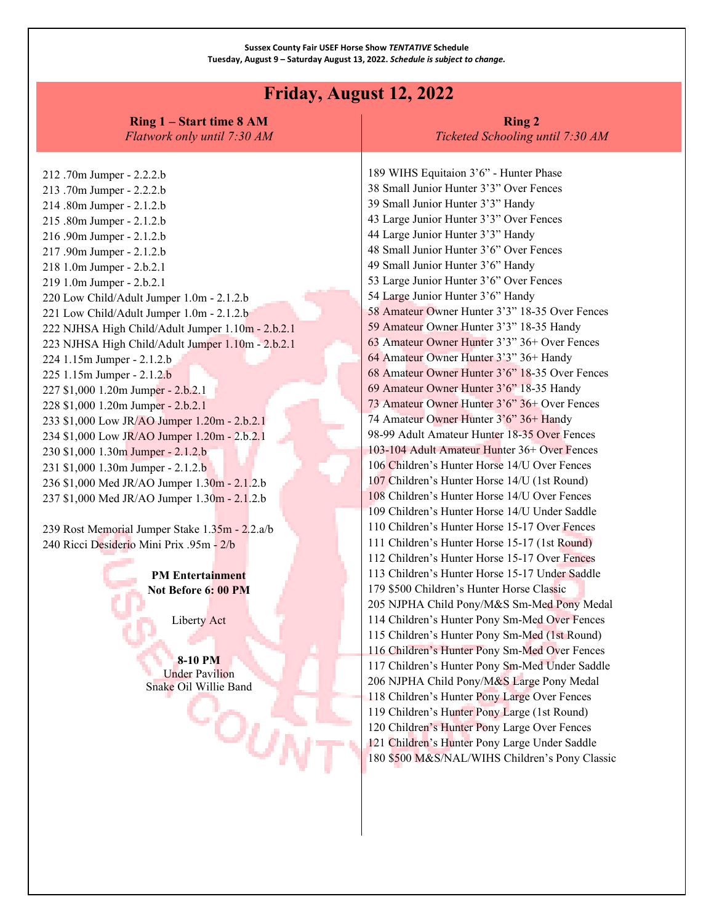### **Friday, August 12, 2022**

**Ring 1 – Start time 8 AM** *Flatwork only until 7:30 AM*

#### **Ring 2** *Ticketed Schooling until 7:30 AM*

212 .70m Jumper - 2.2.2.b 213 .70m Jumper - 2.2.2.b 214 .80m Jumper - 2.1.2.b 215 .80m Jumper - 2.1.2.b 216 .90m Jumper - 2.1.2.b 217 .90m Jumper - 2.1.2.b 218 1.0m Jumper - 2.b.2.1 219 1.0m Jumper - 2.b.2.1 220 Low Child/Adult Jumper 1.0m - 2.1.2.b 221 Low Child/Adult Jumper 1.0m - 2.1.2.b 222 NJHSA High Child/Adult Jumper 1.10m - 2.b.2.1 223 NJHSA High Child/Adult Jumper 1.10m - 2.b.2.1 224 1.15m Jumper - 2.1.2.b 225 1.15m Jumper - 2.1.2.b 227 \$1,000 1.20m Jumper - 2.b.2.1 228 \$1,000 1.20m Jumper - 2.b.2.1 233 \$1,000 Low JR/AO Jumper 1.20m - 2.b.2.1 234 \$1,000 Low JR/AO Jumper 1.20m - 2.b.2.1 230 \$1,000 1.30m Jumper - 2.1.2.b 231 \$1,000 1.30m Jumper - 2.1.2.b 236 \$1,000 Med JR/AO Jumper 1.30m - 2.1.2.b 237 \$1,000 Med JR/AO Jumper 1.30m - 2.1.2.b

239 Rost Memorial Jumper Stake 1.35m - 2.2.a/b 240 Ricci Desiderio Mini Prix .95m - 2/b

> **PM Entertainment Not Before 6: 00 PM**

> > Liberty Act

**8-10 PM** Under Pavilion Snake Oil Willie Band

∹்கூ

189 WIHS Equitaion 3'6" - Hunter Phase 38 Small Junior Hunter 3'3" Over Fences 39 Small Junior Hunter 3'3" Handy 43 Large Junior Hunter 3'3" Over Fences 44 Large Junior Hunter 3'3" Handy 48 Small Junior Hunter 3'6" Over Fences 49 Small Junior Hunter 3'6" Handy 53 Large Junior Hunter 3'6" Over Fences 54 Large Junior Hunter 3'6" Handy 58 Amateur Owner Hunter 3'3" 18-35 Over Fences 59 Amateur Owner Hunter 3'3" 18-35 Handy 63 Amateur Owner Hunter 3'3" 36+ Over Fences 64 Amateur Owner Hunter 3'3" 36+ Handy 68 Amateur Owner Hunter 3'6" 18-35 Over Fences 69 Amateur Owner Hunter 3'6" 18-35 Handy 73 Amateur Owner Hunter 3'6" 36+ Over Fences 74 Amateur Owner Hunter 3'6" 36+ Handy 98-99 Adult Amateur Hunter 18-35 Over Fences 103-104 Adult Amateur Hunter 36+ Over Fences 106 Children's Hunter Horse 14/U Over Fences 107 Children's Hunter Horse 14/U (1st Round) 108 Children's Hunter Horse 14/U Over Fences 109 Children's Hunter Horse 14/U Under Saddle 110 Children's Hunter Horse 15-17 Over Fences 111 Children's Hunter Horse 15-17 (1st Round) 112 Children's Hunter Horse 15-17 Over Fences 113 Children's Hunter Horse 15-17 Under Saddle 179 \$500 Children's Hunter Horse Classic 205 NJPHA Child Pony/M&S Sm-Med Pony Medal 114 Children's Hunter Pony Sm-Med Over Fences 115 Children's Hunter Pony Sm-Med (1st Round) 116 Children's Hunter Pony Sm-Med Over Fences 117 Children's Hunter Pony Sm-Med Under Saddle 206 NJPHA Child Pony/M&S Large Pony Medal 118 Children's Hunter Pony Large Over Fences 119 Children's Hunter Pony Large (1st Round) 120 Children's Hunter Pony Large Over Fences 121 Children's Hunter Pony Large Under Saddle 180 \$500 M&S/NAL/WIHS Children's Pony Classic